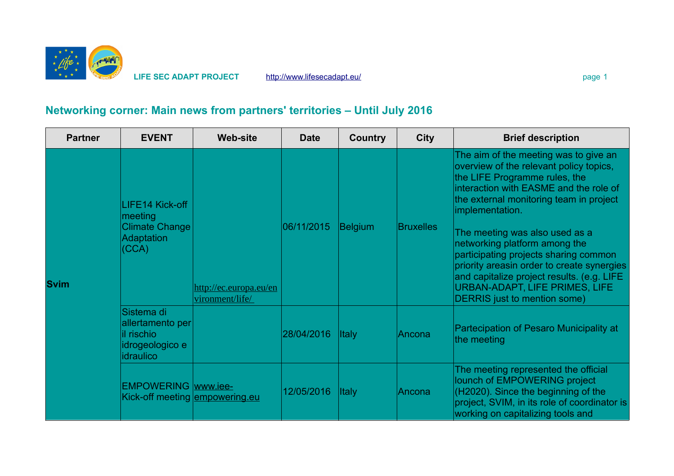

**LIFE SEC ADAPT PROJECT** <http://www.lifesecadapt.eu/>page 1 page 1

# **Networking corner: Main news from partners' territories – Until July 2016**

| <b>Partner</b> | <b>EVENT</b>                                                                      | <b>Web-site</b>                           | <b>Date</b> | <b>Country</b> | <b>City</b>      | <b>Brief description</b>                                                                                                                                                                                                                                                                                                                                                                                                                                                                                   |
|----------------|-----------------------------------------------------------------------------------|-------------------------------------------|-------------|----------------|------------------|------------------------------------------------------------------------------------------------------------------------------------------------------------------------------------------------------------------------------------------------------------------------------------------------------------------------------------------------------------------------------------------------------------------------------------------------------------------------------------------------------------|
| <b>Svim</b>    | LIFE14 Kick-off<br>meeting<br><b>Climate Change</b><br><b>Adaptation</b><br>(CCA) | http://ec.europa.eu/en<br>vironment/life/ | 06/11/2015  | <b>Belgium</b> | <b>Bruxelles</b> | The aim of the meeting was to give an<br>overview of the relevant policy topics,<br>the LIFE Programme rules, the<br>interaction with EASME and the role of<br>the external monitoring team in project<br>implementation.<br>The meeting was also used as a<br>networking platform among the<br>participating projects sharing common<br>priority areasin order to create synergies<br>and capitalize project results. (e.g. LIFE<br><b>URBAN-ADAPT, LIFE PRIMES, LIFE</b><br>DERRIS just to mention some) |
|                | Sistema di<br>allertamento per<br>il rischio<br>idrogeologico e<br>idraulico      |                                           | 28/04/2016  | <b>Italy</b>   | Ancona           | Partecipation of Pesaro Municipality at<br>the meeting                                                                                                                                                                                                                                                                                                                                                                                                                                                     |
|                | <b>EMPOWERING</b> www.iee-<br>Kick-off meeting empowering.eu                      |                                           | 12/05/2016  | <b>Italy</b>   | Ancona           | The meeting represented the official<br>lounch of EMPOWERING project<br>(H2020). Since the beginning of the<br>project, SVIM, in its role of coordinator is<br>working on capitalizing tools and                                                                                                                                                                                                                                                                                                           |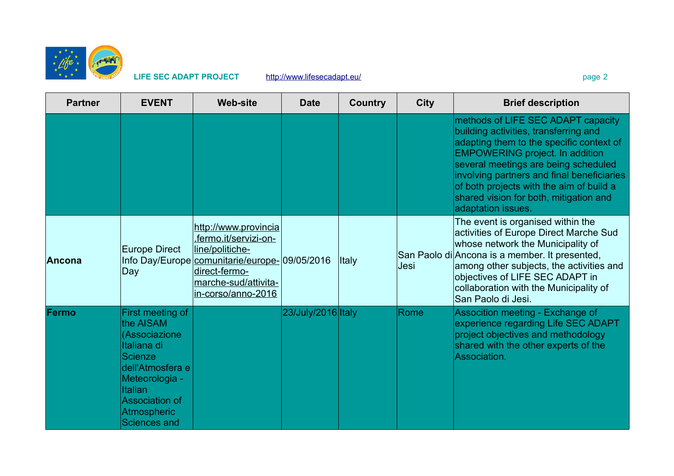

**LIFE SEC ADAPT PROJECT** <http://www.lifesecadapt.eu/>page 2 page 2

| <b>Partner</b> | <b>EVENT</b>                                                                                                                                                                                    | <b>Web-site</b>                                                                                                                                                                  | <b>Date</b>        | <b>Country</b> | <b>City</b> | <b>Brief description</b>                                                                                                                                                                                                                                                                                                                                            |
|----------------|-------------------------------------------------------------------------------------------------------------------------------------------------------------------------------------------------|----------------------------------------------------------------------------------------------------------------------------------------------------------------------------------|--------------------|----------------|-------------|---------------------------------------------------------------------------------------------------------------------------------------------------------------------------------------------------------------------------------------------------------------------------------------------------------------------------------------------------------------------|
|                |                                                                                                                                                                                                 |                                                                                                                                                                                  |                    |                |             | methods of LIFE SEC ADAPT capacity<br>building activities, transferring and<br>adapting them to the specific context of<br><b>EMPOWERING project. In addition</b><br>several meetings are being scheduled<br>involving partners and final beneficiaries<br>of both projects with the aim of build a<br>shared vision for both, mitigation and<br>adaptation issues. |
| <b>Ancona</b>  | <b>Europe Direct</b><br>Day                                                                                                                                                                     | http://www.provincia<br>.fermo.it/servizi-on-<br>line/politiche-<br>Info Day/Europe comunitarie/europe-09/05/2016<br>direct-fermo-<br>marche-sud/attivita-<br>in-corso/anno-2016 |                    | <b>Italy</b>   | Jesi        | The event is organised within the<br>activities of Europe Direct Marche Sud<br>whose network the Municipality of<br>San Paolo di Ancona is a member. It presented,<br>among other subjects, the activities and<br>objectives of LIFE SEC ADAPT in<br>collaboration with the Municipality of<br>San Paolo di Jesi.                                                   |
| Fermo          | First meeting of<br>the AISAM<br>(Associazione<br>Italiana di<br><b>Scienze</b><br>dell'Atmosfera e<br>Meteorologia -<br>Italian<br>Association of<br><b>Atmospheric</b><br><b>Sciences and</b> |                                                                                                                                                                                  | 23/July/2016 Italy |                | Rome        | Assocition meeting - Exchange of<br>experience regarding Life SEC ADAPT<br>project objectives and methodology<br>shared with the other experts of the<br>Association.                                                                                                                                                                                               |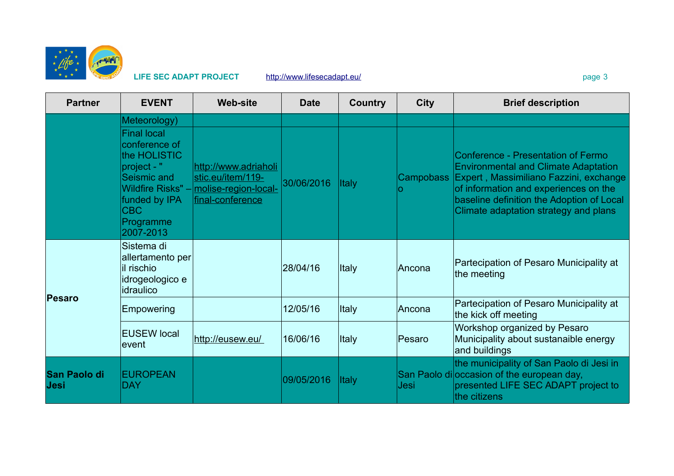

|  | ۹ |
|--|---|
|--|---|

| <b>Partner</b>              | <b>EVENT</b>                                                                       | <b>Web-site</b>                                                                                         | <b>Date</b> | <b>Country</b> | <b>City</b>      | <b>Brief description</b>                                                                                                                                              |
|-----------------------------|------------------------------------------------------------------------------------|---------------------------------------------------------------------------------------------------------|-------------|----------------|------------------|-----------------------------------------------------------------------------------------------------------------------------------------------------------------------|
|                             | Meteorology)<br><b>Final local</b><br>conference of<br>the HOLISTIC<br>project - " |                                                                                                         |             |                |                  | Conference - Presentation of Fermo<br><b>Environmental and Climate Adaptation</b>                                                                                     |
|                             | Seismic and<br>funded by IPA<br>CBC<br>Programme<br>2007-2013                      | http://www.adriaholi<br>stic.eu/item/119-<br>Wildfire Risks" - molise-region-local-<br>final-conference | 30/06/2016  | <b>Italy</b>   | <b>Campobass</b> | Expert, Massimiliano Fazzini, exchange<br>of information and experiences on the<br>baseline definition the Adoption of Local<br>Climate adaptation strategy and plans |
|                             | Sistema di<br>allertamento per<br>il rischio<br>idrogeologico e<br>idraulico       |                                                                                                         | 28/04/16    | Italy          | ∣Ancona          | Partecipation of Pesaro Municipality at<br>the meeting                                                                                                                |
| Pesaro                      | Empowering                                                                         |                                                                                                         | 12/05/16    | Italy          | ∣Ancona          | Partecipation of Pesaro Municipality at<br>the kick off meeting                                                                                                       |
|                             | <b>EUSEW local</b><br>levent                                                       | http://eusew.eu/                                                                                        | 16/06/16    | <b>Italy</b>   | Pesaro           | Workshop organized by Pesaro<br>Municipality about sustanaible energy<br>and buildings                                                                                |
| <b>San Paolo di</b><br>Jesi | <b>EUROPEAN</b><br>DAY                                                             |                                                                                                         | 09/05/2016  | <b>Italy</b>   | Jesi             | the municipality of San Paolo di Jesi in<br>San Paolo di occasion of the european day,<br>presented LIFE SEC ADAPT project to<br>the citizens                         |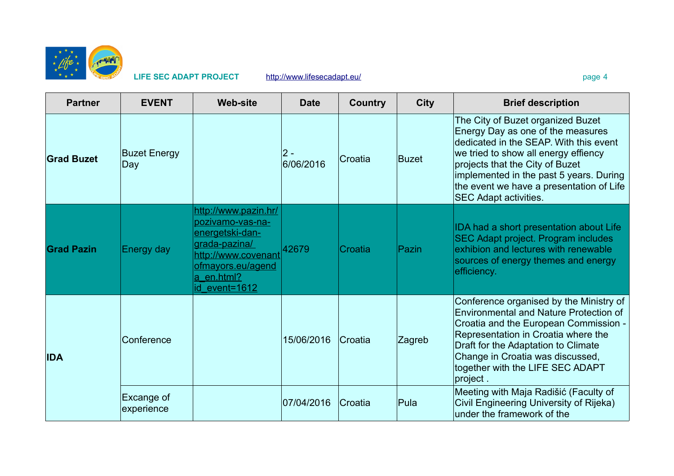

## **LIFE SEC ADAPT PROJECT** <http://www.lifesecadapt.eu/>page 4

| <b>Partner</b>    | <b>EVENT</b>               | <b>Web-site</b>                                                                                                                                         | <b>Date</b>      | <b>Country</b> | <b>City</b>  | <b>Brief description</b>                                                                                                                                                                                                                                                                                           |
|-------------------|----------------------------|---------------------------------------------------------------------------------------------------------------------------------------------------------|------------------|----------------|--------------|--------------------------------------------------------------------------------------------------------------------------------------------------------------------------------------------------------------------------------------------------------------------------------------------------------------------|
| <b>Grad Buzet</b> | <b>Buzet Energy</b><br>Day |                                                                                                                                                         | 2 -<br>6/06/2016 | Croatia        | Buzet        | The City of Buzet organized Buzet<br>Energy Day as one of the measures<br>dedicated in the SEAP. With this event<br>we tried to show all energy effiency<br>projects that the City of Buzet<br>implemented in the past 5 years. During<br>the event we have a presentation of Life<br><b>SEC Adapt activities.</b> |
| <b>Grad Pazin</b> | Energy day                 | http://www.pazin.hr/<br>pozivamo-vas-na-<br>energetski-dan-<br>grada-pazina/<br>http://www.covenant<br>ofmayors.eu/agend<br>a_en.html?<br>id event=1612 | 42679            | Croatia        | <b>Pazin</b> | IDA had a short presentation about Life<br><b>SEC Adapt project. Program includes</b><br>exhibion and lectures with renewable<br>sources of energy themes and energy<br>efficiency.                                                                                                                                |
| <b>IDA</b>        | Conference                 |                                                                                                                                                         | 15/06/2016       | lCroatia       | Zagreb       | Conference organised by the Ministry of<br>Environmental and Nature Protection of<br>Croatia and the European Commission -<br>Representation in Croatia where the<br>Draft for the Adaptation to Climate<br>Change in Croatia was discussed,<br>together with the LIFE SEC ADAPT<br>project.                       |
|                   | Excange of<br>experience   |                                                                                                                                                         | 07/04/2016       | lCroatia       | Pula         | Meeting with Maja Radišić (Faculty of<br>Civil Engineering University of Rijeka)<br>under the framework of the                                                                                                                                                                                                     |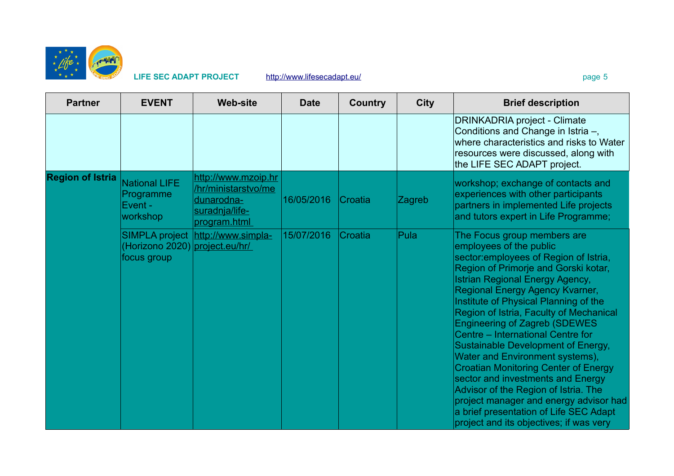

| <b>Partner</b>          | <b>EVENT</b>                                             | <b>Web-site</b>                                                                            | <b>Date</b> | Country | <b>City</b> | <b>Brief description</b>                                                                                                                                                                                                                                                                                                                                                                                                                                                                                                                                                                                                                                                                                                   |
|-------------------------|----------------------------------------------------------|--------------------------------------------------------------------------------------------|-------------|---------|-------------|----------------------------------------------------------------------------------------------------------------------------------------------------------------------------------------------------------------------------------------------------------------------------------------------------------------------------------------------------------------------------------------------------------------------------------------------------------------------------------------------------------------------------------------------------------------------------------------------------------------------------------------------------------------------------------------------------------------------------|
|                         |                                                          |                                                                                            |             |         |             | <b>DRINKADRIA project - Climate</b><br>Conditions and Change in Istria -,<br>where characteristics and risks to Water<br>resources were discussed, along with<br>the LIFE SEC ADAPT project.                                                                                                                                                                                                                                                                                                                                                                                                                                                                                                                               |
| <b>Region of Istria</b> | <b>National LIFE</b><br>Programme<br>Event -<br>workshop | http://www.mzoip.hr<br>/hr/ministarstvo/me<br>dunarodna-<br>suradnja/life-<br>program.html | 16/05/2016  | Croatia | Zagreb      | workshop; exchange of contacts and<br>experiences with other participants<br>partners in implemented Life projects<br>and tutors expert in Life Programme;                                                                                                                                                                                                                                                                                                                                                                                                                                                                                                                                                                 |
|                         | <b>SIMPLA project</b><br>(Horizono 2020)<br>focus group  | http://www.simpla-<br>project.eu/hr/                                                       | 15/07/2016  | Croatia | Pula        | The Focus group members are<br>employees of the public<br>sector: employees of Region of Istria,<br>Region of Primorje and Gorski kotar,<br><b>Istrian Regional Energy Agency,</b><br>Regional Energy Agency Kvarner,<br>Institute of Physical Planning of the<br>Region of Istria, Faculty of Mechanical<br><b>Engineering of Zagreb (SDEWES</b><br>Centre - International Centre for<br>Sustainable Development of Energy,<br>Water and Environment systems),<br><b>Croatian Monitoring Center of Energy</b><br>sector and investments and Energy<br>Advisor of the Region of Istria. The<br>project manager and energy advisor had<br>a brief presentation of Life SEC Adapt<br>project and its objectives; if was very |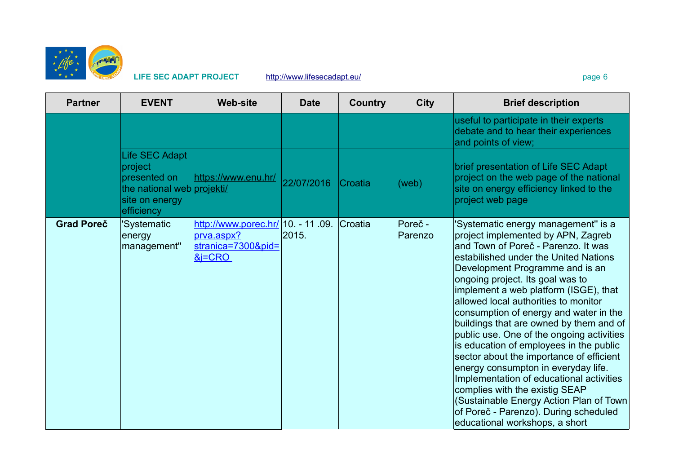

LIFE SEC ADAPT PROJECT <http://www.lifesecadapt.eu/>page 6 page 6

| <b>Partner</b>    | <b>EVENT</b>                                                                                            | <b>Web-site</b>                                                                     | <b>Date</b> | <b>Country</b> | <b>City</b>        | <b>Brief description</b>                                                                                                                                                                                                                                                                                                                                                                                                                                                                                                                                                                                                                                                                                                                                                              |
|-------------------|---------------------------------------------------------------------------------------------------------|-------------------------------------------------------------------------------------|-------------|----------------|--------------------|---------------------------------------------------------------------------------------------------------------------------------------------------------------------------------------------------------------------------------------------------------------------------------------------------------------------------------------------------------------------------------------------------------------------------------------------------------------------------------------------------------------------------------------------------------------------------------------------------------------------------------------------------------------------------------------------------------------------------------------------------------------------------------------|
|                   |                                                                                                         |                                                                                     |             |                |                    | useful to participate in their experts<br>debate and to hear their experiences<br>and points of view;                                                                                                                                                                                                                                                                                                                                                                                                                                                                                                                                                                                                                                                                                 |
|                   | Life SEC Adapt<br>project<br>presented on<br>the national web projekti/<br>site on energy<br>efficiency | https://www.enu.hr/                                                                 | 22/07/2016  | <b>Croatia</b> | (web)              | brief presentation of Life SEC Adapt<br>project on the web page of the national<br>site on energy efficiency linked to the<br>project web page                                                                                                                                                                                                                                                                                                                                                                                                                                                                                                                                                                                                                                        |
| <b>Grad Poreč</b> | 'Systematic<br>energy<br>management"                                                                    | http://www.porec.hr/ 10. - 11.09.<br>prva.aspx?<br>stranica=7300&pid=<br>$\&$ = CRO | 2015.       | Croatia        | Poreč -<br>Parenzo | 'Systematic energy management" is a<br>project implemented by APN, Zagreb<br>and Town of Poreč - Parenzo. It was<br>estabilished under the United Nations<br>Development Programme and is an<br>ongoing project. Its goal was to<br>implement a web platform (ISGE), that<br>allowed local authorities to monitor<br>consumption of energy and water in the<br>buildings that are owned by them and of<br>public use. One of the ongoing activities<br>is education of employees in the public<br>sector about the importance of efficient<br>energy consumpton in everyday life.<br>Implementation of educational activities<br>complies with the existig SEAP<br>(Sustainable Energy Action Plan of Town<br>of Poreč - Parenzo). During scheduled<br>educational workshops, a short |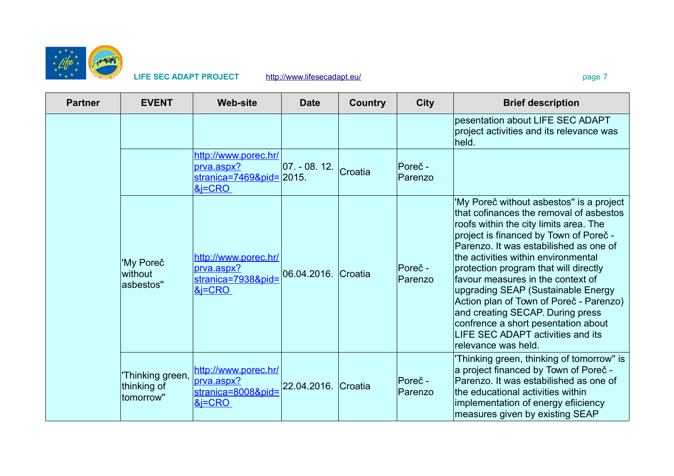

### LIFE SEC ADAPT PROJECT <http://www.lifesecadapt.eu/>page 7

| <b>Partner</b> | <b>EVENT</b>                                | <b>Web-site</b>                                                                   | <b>Date</b>         | <b>Country</b> | <b>City</b>        | <b>Brief description</b>                                                                                                                                                                                                                                                                                                                                                                                                                                                                                                                                       |
|----------------|---------------------------------------------|-----------------------------------------------------------------------------------|---------------------|----------------|--------------------|----------------------------------------------------------------------------------------------------------------------------------------------------------------------------------------------------------------------------------------------------------------------------------------------------------------------------------------------------------------------------------------------------------------------------------------------------------------------------------------------------------------------------------------------------------------|
|                |                                             |                                                                                   |                     |                |                    | pesentation about LIFE SEC ADAPT<br>project activities and its relevance was<br>held.                                                                                                                                                                                                                                                                                                                                                                                                                                                                          |
|                |                                             | http://www.porec.hr/<br>prva.aspx?<br>$stranica = 7469&pid = 2015.$<br>$\&$ i=CRO | $ 07. - 08. 12.$    | Croatia        | Poreč -<br>Parenzo |                                                                                                                                                                                                                                                                                                                                                                                                                                                                                                                                                                |
|                | 'My Poreč<br>without<br>asbestos"           | http://www.porec.hr/<br>prva.aspx?<br>stranica=7938&pid=<br>$&F$ = $CRO$          | 06.04.2016.         | <b>Croatia</b> | Poreč -<br>Parenzo | 'My Poreč without asbestos" is a project<br>that cofinances the removal of asbestos<br>roofs within the city limits area. The<br>project is financed by Town of Poreč -<br>Parenzo. It was estabilished as one of<br>the activities within environmental<br>protection program that will directly<br>favour measures in the context of<br>upgrading SEAP (Sustainable Energy<br>Action plan of Town of Poreč - Parenzo)<br>and creating SECAP. During press<br>confrence a short pesentation about<br>LIFE SEC ADAPT activities and its<br>relevance was held. |
|                | Thinking green,<br>thinking of<br>tomorrow" | http://www.porec.hr/<br>prva.aspx?<br>stranica=8008&pid=<br>&FCRO                 | 22.04.2016. Croatia |                | Poreč -<br>Parenzo | 'Thinking green, thinking of tomorrow" is<br>a project financed by Town of Poreč -<br>Parenzo. It was estabilished as one of<br>the educational activities within<br>implementation of energy efficiency<br>measures given by existing SEAP                                                                                                                                                                                                                                                                                                                    |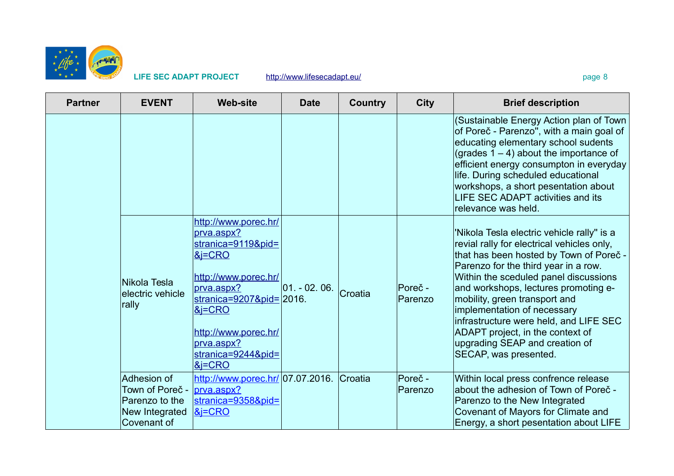

### LIFE SEC ADAPT PROJECT <http://www.lifesecadapt.eu/>page 8 page 8

| <b>Partner</b> | <b>EVENT</b>                                                                      | <b>Web-site</b>                                                                                                                                                                                                            | <b>Date</b>      | <b>Country</b> | <b>City</b>        | <b>Brief description</b>                                                                                                                                                                                                                                                                                                                                                                                                                                              |
|----------------|-----------------------------------------------------------------------------------|----------------------------------------------------------------------------------------------------------------------------------------------------------------------------------------------------------------------------|------------------|----------------|--------------------|-----------------------------------------------------------------------------------------------------------------------------------------------------------------------------------------------------------------------------------------------------------------------------------------------------------------------------------------------------------------------------------------------------------------------------------------------------------------------|
|                |                                                                                   |                                                                                                                                                                                                                            |                  |                |                    | (Sustainable Energy Action plan of Town<br>of Poreč - Parenzo", with a main goal of<br>educating elementary school sudents<br>(grades $1 - 4$ ) about the importance of<br>efficient energy consumpton in everyday<br>life. During scheduled educational<br>workshops, a short pesentation about<br>LIFE SEC ADAPT activities and its<br>relevance was held.                                                                                                          |
|                | Nikola Tesla<br>electric vehicle<br>rally                                         | http://www.porec.hr/<br>prva.aspx?<br>stranica=9119&pid=<br>$&=CRO$<br>http://www.porec.hr/<br>prva.aspx?<br>stranica=9207&pid=2016.<br>$8$ i=CRO<br>http://www.porec.hr/<br>prva.aspx?<br>stranica=9244&pid=<br>$8$ j=CRO | $ 01. - 02. 06.$ | Croatia        | Poreč -<br>Parenzo | 'Nikola Tesla electric vehicle rally" is a<br>revial rally for electrical vehicles only,<br>that has been hosted by Town of Poreč -<br>Parenzo for the third year in a row.<br>Within the sceduled panel discussions<br>and workshops, lectures promoting e-<br>mobility, green transport and<br>implementation of necessary<br>infrastructure were held, and LIFE SEC<br>ADAPT project, in the context of<br>upgrading SEAP and creation of<br>SECAP, was presented. |
|                | Adhesion of<br>Town of Poreč -<br>Parenzo to the<br>New Integrated<br>Covenant of | http://www.porec.hr/ 07.07.2016.<br>prva.aspx?<br>stranica=9358&pid=<br>$8$ i=CRO                                                                                                                                          |                  | Croatia        | Poreč -<br>Parenzo | Within local press confrence release<br>about the adhesion of Town of Poreč -<br>Parenzo to the New Integrated<br>Covenant of Mayors for Climate and<br>Energy, a short pesentation about LIFE                                                                                                                                                                                                                                                                        |